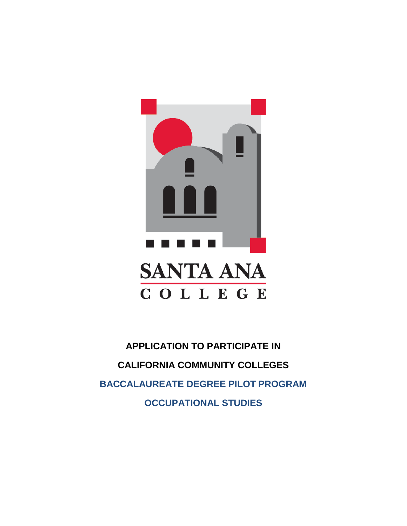

**APPLICATION TO PARTICIPATE IN CALIFORNIA COMMUNITY COLLEGES BACCALAUREATE DEGREE PILOT PROGRAM OCCUPATIONAL STUDIES**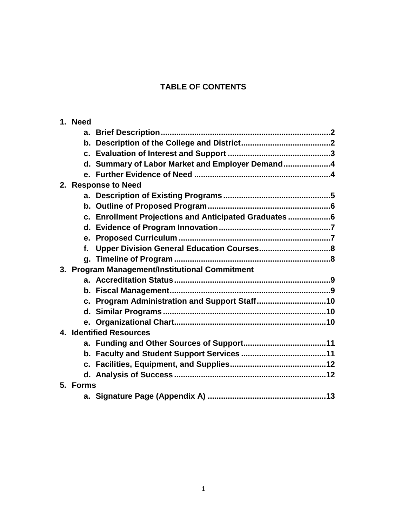# **TABLE OF CONTENTS**

|                         | 1. Need  |                                                       |  |  |  |
|-------------------------|----------|-------------------------------------------------------|--|--|--|
|                         |          |                                                       |  |  |  |
|                         |          |                                                       |  |  |  |
|                         |          |                                                       |  |  |  |
|                         |          | d. Summary of Labor Market and Employer Demand4       |  |  |  |
|                         |          |                                                       |  |  |  |
|                         |          | 2. Response to Need                                   |  |  |  |
|                         |          |                                                       |  |  |  |
|                         |          |                                                       |  |  |  |
|                         |          | c. Enrollment Projections and Anticipated Graduates 6 |  |  |  |
|                         |          |                                                       |  |  |  |
|                         |          |                                                       |  |  |  |
|                         | f.       |                                                       |  |  |  |
|                         |          |                                                       |  |  |  |
|                         |          | 3. Program Management/Institutional Commitment        |  |  |  |
|                         |          |                                                       |  |  |  |
|                         |          |                                                       |  |  |  |
|                         |          |                                                       |  |  |  |
|                         |          |                                                       |  |  |  |
|                         |          |                                                       |  |  |  |
| 4. Identified Resources |          |                                                       |  |  |  |
|                         |          |                                                       |  |  |  |
|                         |          |                                                       |  |  |  |
|                         |          |                                                       |  |  |  |
|                         |          |                                                       |  |  |  |
|                         | 5. Forms |                                                       |  |  |  |
|                         |          |                                                       |  |  |  |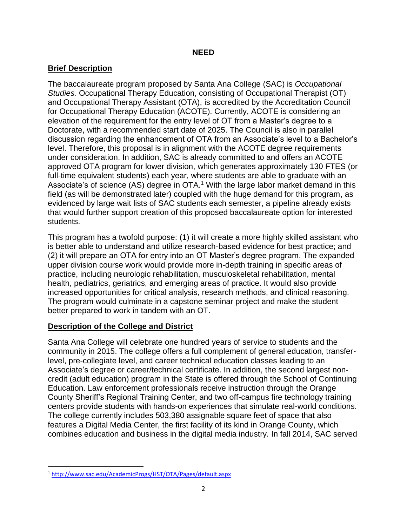### **NEED**

# **Brief Description**

The baccalaureate program proposed by Santa Ana College (SAC) is *Occupational Studies.* Occupational Therapy Education, consisting of Occupational Therapist (OT) and Occupational Therapy Assistant (OTA), is accredited by the Accreditation Council for Occupational Therapy Education (ACOTE). Currently, ACOTE is considering an elevation of the requirement for the entry level of OT from a Master's degree to a Doctorate, with a recommended start date of 2025. The Council is also in parallel discussion regarding the enhancement of OTA from an Associate's level to a Bachelor's level. Therefore, this proposal is in alignment with the ACOTE degree requirements under consideration. In addition, SAC is already committed to and offers an ACOTE approved OTA program for lower division, which generates approximately 130 FTES (or full-time equivalent students) each year, where students are able to graduate with an Associate's of science (AS) degree in OTA.<sup>1</sup> With the large labor market demand in this field (as will be demonstrated later) coupled with the huge demand for this program, as evidenced by large wait lists of SAC students each semester, a pipeline already exists that would further support creation of this proposed baccalaureate option for interested students.

This program has a twofold purpose: (1) it will create a more highly skilled assistant who is better able to understand and utilize research-based evidence for best practice; and (2) it will prepare an OTA for entry into an OT Master's degree program. The expanded upper division course work would provide more in-depth training in specific areas of practice, including neurologic rehabilitation, musculoskeletal rehabilitation, mental health, pediatrics, geriatrics, and emerging areas of practice. It would also provide increased opportunities for critical analysis, research methods, and clinical reasoning. The program would culminate in a capstone seminar project and make the student better prepared to work in tandem with an OT.

# **Description of the College and District**

Santa Ana College will celebrate one hundred years of service to students and the community in 2015. The college offers a full complement of general education, transferlevel, pre-collegiate level, and career technical education classes leading to an Associate's degree or career/technical certificate. In addition, the second largest noncredit (adult education) program in the State is offered through the School of Continuing Education. Law enforcement professionals receive instruction through the Orange County Sheriff's Regional Training Center, and two off-campus fire technology training centers provide students with hands-on experiences that simulate real-world conditions. The college currently includes 503,380 assignable square feet of space that also features a Digital Media Center, the first facility of its kind in Orange County, which combines education and business in the digital media industry. In fall 2014, SAC served

 $\overline{\phantom{a}}$ 

<sup>1</sup> <http://www.sac.edu/AcademicProgs/HST/OTA/Pages/default.aspx>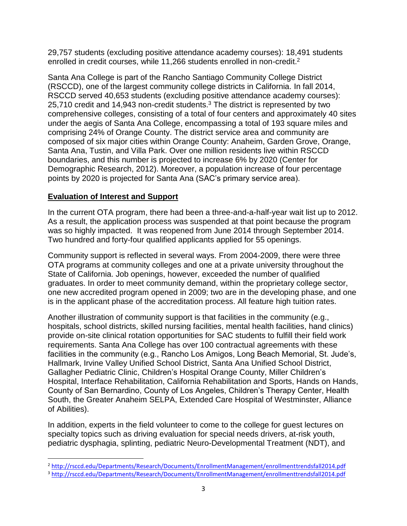29,757 students (excluding positive attendance academy courses): 18,491 students enrolled in credit courses, while 11,266 students enrolled in non-credit.<sup>2</sup>

Santa Ana College is part of the Rancho Santiago Community College District (RSCCD), one of the largest community college districts in California. In fall 2014, RSCCD served 40,653 students (excluding positive attendance academy courses): 25,710 credit and 14,943 non-credit students.<sup>3</sup> The district is represented by two comprehensive colleges, consisting of a total of four centers and approximately 40 sites under the aegis of Santa Ana College, encompassing a total of 193 square miles and comprising 24% of Orange County. The district service area and community are composed of six major cities within Orange County: Anaheim, Garden Grove, Orange, Santa Ana, Tustin, and Villa Park. Over one million residents live within RSCCD boundaries, and this number is projected to increase 6% by 2020 (Center for Demographic Research, 2012). Moreover, a population increase of four percentage points by 2020 is projected for Santa Ana (SAC's primary service area).

# **Evaluation of Interest and Support**

l

In the current OTA program, there had been a three-and-a-half-year wait list up to 2012. As a result, the application process was suspended at that point because the program was so highly impacted. It was reopened from June 2014 through September 2014. Two hundred and forty-four qualified applicants applied for 55 openings.

Community support is reflected in several ways. From 2004-2009, there were three OTA programs at community colleges and one at a private university throughout the State of California. Job openings, however, exceeded the number of qualified graduates. In order to meet community demand, within the proprietary college sector, one new accredited program opened in 2009; two are in the developing phase, and one is in the applicant phase of the accreditation process. All feature high tuition rates.

Another illustration of community support is that facilities in the community (e.g., hospitals, school districts, skilled nursing facilities, mental health facilities, hand clinics) provide on-site clinical rotation opportunities for SAC students to fulfill their field work requirements. Santa Ana College has over 100 contractual agreements with these facilities in the community (e.g., Rancho Los Amigos, Long Beach Memorial, St. Jude's, Hallmark, Irvine Valley Unified School District, Santa Ana Unified School District, Gallagher Pediatric Clinic, Children's Hospital Orange County, Miller Children's Hospital, Interface Rehabilitation, California Rehabilitation and Sports, Hands on Hands, County of San Bernardino, County of Los Angeles, Children's Therapy Center, Health South, the Greater Anaheim SELPA, Extended Care Hospital of Westminster, Alliance of Abilities).

In addition, experts in the field volunteer to come to the college for guest lectures on specialty topics such as driving evaluation for special needs drivers, at-risk youth, pediatric dysphagia, splinting, pediatric Neuro-Developmental Treatment (NDT), and

<sup>2</sup> <http://rsccd.edu/Departments/Research/Documents/EnrollmentManagement/enrollmenttrendsfall2014.pdf>

<sup>3</sup> <http://rsccd.edu/Departments/Research/Documents/EnrollmentManagement/enrollmenttrendsfall2014.pdf>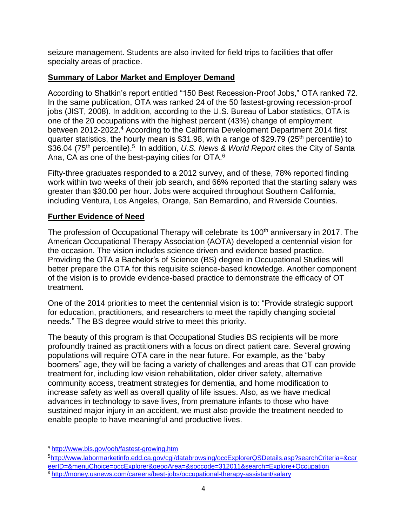seizure management. Students are also invited for field trips to facilities that offer specialty areas of practice.

### **Summary of Labor Market and Employer Demand**

According to Shatkin's report entitled "150 Best Recession-Proof Jobs," OTA ranked 72. In the same publication, OTA was ranked 24 of the 50 fastest-growing recession-proof jobs (JIST, 2008). In addition, according to the U.S. Bureau of Labor statistics, OTA is one of the 20 occupations with the highest percent (43%) change of employment between 2012-2022. <sup>4</sup> According to the California Development Department 2014 first quarter statistics, the hourly mean is \$31.98, with a range of \$29.79 (25<sup>th</sup> percentile) to \$36.04 (75<sup>th</sup> percentile).<sup>5</sup> In addition, U.S. News & World Report cites the City of Santa Ana, CA as one of the best-paying cities for OTA.<sup>6</sup>

Fifty-three graduates responded to a 2012 survey, and of these, 78% reported finding work within two weeks of their job search, and 66% reported that the starting salary was greater than \$30.00 per hour. Jobs were acquired throughout Southern California, including Ventura, Los Angeles, Orange, San Bernardino, and Riverside Counties.

# **Further Evidence of Need**

The profession of Occupational Therapy will celebrate its 100<sup>th</sup> anniversary in 2017. The American Occupational Therapy Association (AOTA) developed a centennial vision for the occasion. The vision includes science driven and evidence based practice. Providing the OTA a Bachelor's of Science (BS) degree in Occupational Studies will better prepare the OTA for this requisite science-based knowledge. Another component of the vision is to provide evidence-based practice to demonstrate the efficacy of OT treatment.

One of the 2014 priorities to meet the centennial vision is to: "Provide strategic support for education, practitioners, and researchers to meet the rapidly changing societal needs." The BS degree would strive to meet this priority.

The beauty of this program is that Occupational Studies BS recipients will be more profoundly trained as practitioners with a focus on direct patient care. Several growing populations will require OTA care in the near future. For example, as the "baby boomers" age, they will be facing a variety of challenges and areas that OT can provide treatment for, including low vision rehabilitation, older driver safety, alternative community access, treatment strategies for dementia, and home modification to increase safety as well as overall quality of life issues. Also, as we have medical advances in technology to save lives, from premature infants to those who have sustained major injury in an accident, we must also provide the treatment needed to enable people to have meaningful and productive lives.

 $\overline{\phantom{a}}$ 

<sup>4</sup> <http://www.bls.gov/ooh/fastest-growing.htm>

<sup>5</sup>[http://www.labormarketinfo.edd.ca.gov/cgi/databrowsing/occExplorerQSDetails.asp?searchCriteria=&car](http://www.labormarketinfo.edd.ca.gov/cgi/databrowsing/occExplorerQSDetails.asp?searchCriteria=&careerID=&menuChoice=occExplorer&geogArea=&soccode=312011&search=Explore+Occupation) [eerID=&menuChoice=occExplorer&geogArea=&soccode=312011&search=Explore+Occupation](http://www.labormarketinfo.edd.ca.gov/cgi/databrowsing/occExplorerQSDetails.asp?searchCriteria=&careerID=&menuChoice=occExplorer&geogArea=&soccode=312011&search=Explore+Occupation) <sup>6</sup> <http://money.usnews.com/careers/best-jobs/occupational-therapy-assistant/salary>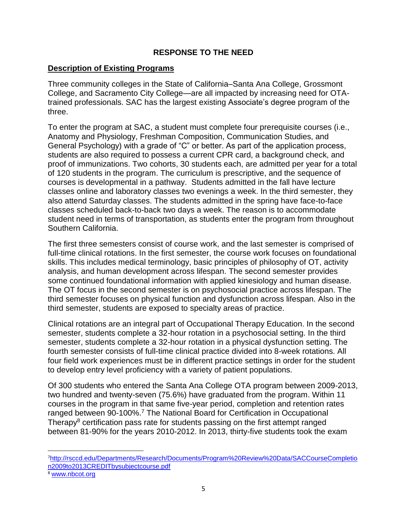### **RESPONSE TO THE NEED**

#### **Description of Existing Programs**

Three community colleges in the State of California–Santa Ana College, Grossmont College, and Sacramento City College—are all impacted by increasing need for OTAtrained professionals. SAC has the largest existing Associate's degree program of the three.

To enter the program at SAC, a student must complete four prerequisite courses (i.e., Anatomy and Physiology, Freshman Composition, Communication Studies, and General Psychology) with a grade of "C" or better. As part of the application process, students are also required to possess a current CPR card, a background check, and proof of immunizations. Two cohorts, 30 students each, are admitted per year for a total of 120 students in the program. The curriculum is prescriptive, and the sequence of courses is developmental in a pathway. Students admitted in the fall have lecture classes online and laboratory classes two evenings a week. In the third semester, they also attend Saturday classes. The students admitted in the spring have face-to-face classes scheduled back-to-back two days a week. The reason is to accommodate student need in terms of transportation, as students enter the program from throughout Southern California.

The first three semesters consist of course work, and the last semester is comprised of full-time clinical rotations. In the first semester, the course work focuses on foundational skills. This includes medical terminology, basic principles of philosophy of OT, activity analysis, and human development across lifespan. The second semester provides some continued foundational information with applied kinesiology and human disease. The OT focus in the second semester is on psychosocial practice across lifespan. The third semester focuses on physical function and dysfunction across lifespan. Also in the third semester, students are exposed to specialty areas of practice.

Clinical rotations are an integral part of Occupational Therapy Education. In the second semester, students complete a 32-hour rotation in a psychosocial setting. In the third semester, students complete a 32-hour rotation in a physical dysfunction setting. The fourth semester consists of full-time clinical practice divided into 8-week rotations. All four field work experiences must be in different practice settings in order for the student to develop entry level proficiency with a variety of patient populations.

Of 300 students who entered the Santa Ana College OTA program between 2009-2013, two hundred and twenty-seven (75.6%) have graduated from the program. Within 11 courses in the program in that same five-year period, completion and retention rates ranged between 90-100%.<sup>7</sup> The National Board for Certification in Occupational Therapy<sup>8</sup> certification pass rate for students passing on the first attempt ranged between 81-90% for the years 2010-2012. In 2013, thirty-five students took the exam

 $\overline{\phantom{a}}$ 

<sup>7</sup>[http://rsccd.edu/Departments/Research/Documents/Program%20Review%20Data/SACCourseCompletio](http://rsccd.edu/Departments/Research/Documents/Program%20Review%20Data/SACCourseCompletion2009to2013CREDITbysubjectcourse.pdf) [n2009to2013CREDITbysubjectcourse.pdf](http://rsccd.edu/Departments/Research/Documents/Program%20Review%20Data/SACCourseCompletion2009to2013CREDITbysubjectcourse.pdf)

<sup>8</sup> [www.nbcot.org](http://www.nbcot.org/)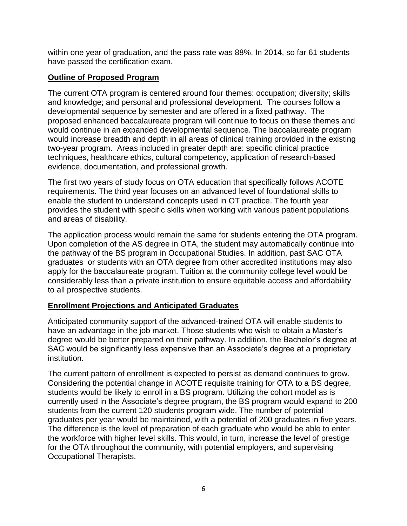within one year of graduation, and the pass rate was 88%. In 2014, so far 61 students have passed the certification exam.

#### **Outline of Proposed Program**

The current OTA program is centered around four themes: occupation; diversity; skills and knowledge; and personal and professional development. The courses follow a developmental sequence by semester and are offered in a fixed pathway. The proposed enhanced baccalaureate program will continue to focus on these themes and would continue in an expanded developmental sequence. The baccalaureate program would increase breadth and depth in all areas of clinical training provided in the existing two-year program. Areas included in greater depth are: specific clinical practice techniques, healthcare ethics, cultural competency, application of research-based evidence, documentation, and professional growth.

The first two years of study focus on OTA education that specifically follows ACOTE requirements. The third year focuses on an advanced level of foundational skills to enable the student to understand concepts used in OT practice. The fourth year provides the student with specific skills when working with various patient populations and areas of disability.

The application process would remain the same for students entering the OTA program. Upon completion of the AS degree in OTA, the student may automatically continue into the pathway of the BS program in Occupational Studies. In addition, past SAC OTA graduates or students with an OTA degree from other accredited institutions may also apply for the baccalaureate program. Tuition at the community college level would be considerably less than a private institution to ensure equitable access and affordability to all prospective students.

#### **Enrollment Projections and Anticipated Graduates**

Anticipated community support of the advanced-trained OTA will enable students to have an advantage in the job market. Those students who wish to obtain a Master's degree would be better prepared on their pathway. In addition, the Bachelor's degree at SAC would be significantly less expensive than an Associate's degree at a proprietary institution.

The current pattern of enrollment is expected to persist as demand continues to grow. Considering the potential change in ACOTE requisite training for OTA to a BS degree, students would be likely to enroll in a BS program. Utilizing the cohort model as is currently used in the Associate's degree program, the BS program would expand to 200 students from the current 120 students program wide. The number of potential graduates per year would be maintained, with a potential of 200 graduates in five years. The difference is the level of preparation of each graduate who would be able to enter the workforce with higher level skills. This would, in turn, increase the level of prestige for the OTA throughout the community, with potential employers, and supervising Occupational Therapists.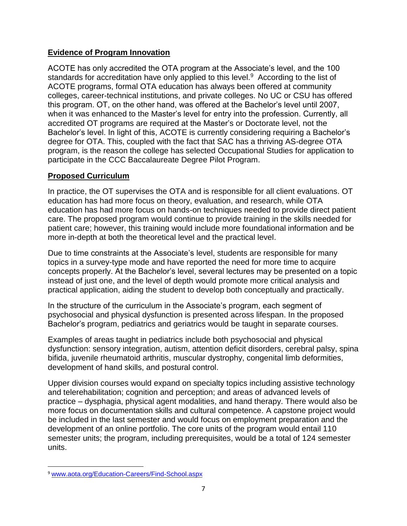# **Evidence of Program Innovation**

ACOTE has only accredited the OTA program at the Associate's level, and the 100 standards for accreditation have only applied to this level.<sup>9</sup> According to the list of ACOTE programs, formal OTA education has always been offered at community colleges, career-technical institutions, and private colleges. No UC or CSU has offered this program. OT, on the other hand, was offered at the Bachelor's level until 2007, when it was enhanced to the Master's level for entry into the profession. Currently, all accredited OT programs are required at the Master's or Doctorate level, not the Bachelor's level. In light of this, ACOTE is currently considering requiring a Bachelor's degree for OTA. This, coupled with the fact that SAC has a thriving AS-degree OTA program, is the reason the college has selected Occupational Studies for application to participate in the CCC Baccalaureate Degree Pilot Program.

# **Proposed Curriculum**

In practice, the OT supervises the OTA and is responsible for all client evaluations. OT education has had more focus on theory, evaluation, and research, while OTA education has had more focus on hands-on techniques needed to provide direct patient care. The proposed program would continue to provide training in the skills needed for patient care; however, this training would include more foundational information and be more in-depth at both the theoretical level and the practical level.

Due to time constraints at the Associate's level, students are responsible for many topics in a survey-type mode and have reported the need for more time to acquire concepts properly. At the Bachelor's level, several lectures may be presented on a topic instead of just one, and the level of depth would promote more critical analysis and practical application, aiding the student to develop both conceptually and practically.

In the structure of the curriculum in the Associate's program, each segment of psychosocial and physical dysfunction is presented across lifespan. In the proposed Bachelor's program, pediatrics and geriatrics would be taught in separate courses.

Examples of areas taught in pediatrics include both psychosocial and physical dysfunction: sensory integration, autism, attention deficit disorders, cerebral palsy, spina bifida, juvenile rheumatoid arthritis, muscular dystrophy, congenital limb deformities, development of hand skills, and postural control.

Upper division courses would expand on specialty topics including assistive technology and telerehabilitation; cognition and perception; and areas of advanced levels of practice – dysphagia, physical agent modalities, and hand therapy. There would also be more focus on documentation skills and cultural competence. A capstone project would be included in the last semester and would focus on employment preparation and the development of an online portfolio. The core units of the program would entail 110 semester units; the program, including prerequisites, would be a total of 124 semester units.

 $\overline{\phantom{a}}$ <sup>9</sup> [www.aota.org/Education-Careers/Find-School.aspx](http://www.aota.org/Education-Careers/Find-School.aspx)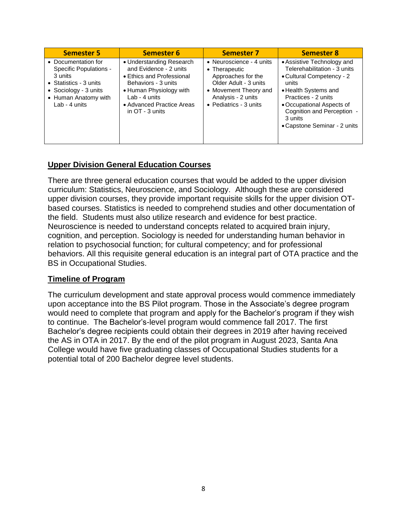| <b>Semester 5</b>                                                                                                                                    | <b>Semester 6</b>                                                                                                                                                                                    | <b>Semester 7</b>                                                                                                                                                         | <b>Semester 8</b>                                                                                                                                                                                                                                     |
|------------------------------------------------------------------------------------------------------------------------------------------------------|------------------------------------------------------------------------------------------------------------------------------------------------------------------------------------------------------|---------------------------------------------------------------------------------------------------------------------------------------------------------------------------|-------------------------------------------------------------------------------------------------------------------------------------------------------------------------------------------------------------------------------------------------------|
| • Documentation for<br>Specific Populations -<br>3 units<br>• Statistics - 3 units<br>• Sociology - 3 units<br>• Human Anatomy with<br>Lab - 4 units | • Understanding Research<br>and Evidence - 2 units<br>• Ethics and Professional<br>Behaviors - 3 units<br>• Human Physiology with<br>Lab - 4 units<br>• Advanced Practice Areas<br>in $OT - 3$ units | • Neuroscience - 4 units<br>• Therapeutic<br>Approaches for the<br>Older Adult - 3 units<br>• Movement Theory and<br>Analysis - 2 units<br>$\bullet$ Pediatrics - 3 units | • Assistive Technology and<br>Telerehabilitation - 3 units<br>• Cultural Competency - 2<br>units<br>• Health Systems and<br>Practices - 2 units<br>• Occupational Aspects of<br>Cognition and Perception -<br>3 units<br>• Capstone Seminar - 2 units |

# **Upper Division General Education Courses**

There are three general education courses that would be added to the upper division curriculum: Statistics, Neuroscience, and Sociology. Although these are considered upper division courses, they provide important requisite skills for the upper division OTbased courses. Statistics is needed to comprehend studies and other documentation of the field. Students must also utilize research and evidence for best practice. Neuroscience is needed to understand concepts related to acquired brain injury, cognition, and perception. Sociology is needed for understanding human behavior in relation to psychosocial function; for cultural competency; and for professional behaviors. All this requisite general education is an integral part of OTA practice and the BS in Occupational Studies.

#### **Timeline of Program**

The curriculum development and state approval process would commence immediately upon acceptance into the BS Pilot program. Those in the Associate's degree program would need to complete that program and apply for the Bachelor's program if they wish to continue. The Bachelor's-level program would commence fall 2017. The first Bachelor's degree recipients could obtain their degrees in 2019 after having received the AS in OTA in 2017. By the end of the pilot program in August 2023, Santa Ana College would have five graduating classes of Occupational Studies students for a potential total of 200 Bachelor degree level students.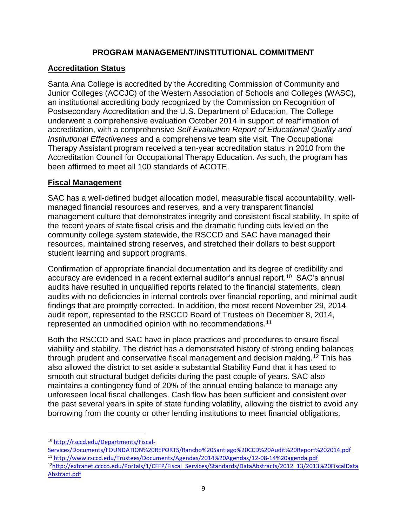# **PROGRAM MANAGEMENT/INSTITUTIONAL COMMITMENT**

# **Accreditation Status**

Santa Ana College is accredited by the Accrediting Commission of Community and Junior Colleges (ACCJC) of the Western Association of Schools and Colleges (WASC), an institutional accrediting body recognized by the Commission on Recognition of Postsecondary Accreditation and the U.S. Department of Education. The College underwent a comprehensive evaluation October 2014 in support of reaffirmation of accreditation, with a comprehensive *Self Evaluation Report of Educational Quality and Institutional Effectiveness* and a comprehensive team site visit. The Occupational Therapy Assistant program received a ten-year accreditation status in 2010 from the Accreditation Council for Occupational Therapy Education. As such, the program has been affirmed to meet all 100 standards of ACOTE.

# **Fiscal Management**

SAC has a well-defined budget allocation model, measurable fiscal accountability, wellmanaged financial resources and reserves, and a very transparent financial management culture that demonstrates integrity and consistent fiscal stability. In spite of the recent years of state fiscal crisis and the dramatic funding cuts levied on the community college system statewide, the RSCCD and SAC have managed their resources, maintained strong reserves, and stretched their dollars to best support student learning and support programs.

Confirmation of appropriate financial documentation and its degree of credibility and accuracy are evidenced in a recent external auditor's annual report.<sup>10</sup> SAC's annual audits have resulted in unqualified reports related to the financial statements, clean audits with no deficiencies in internal controls over financial reporting, and minimal audit findings that are promptly corrected. In addition, the most recent November 29, 2014 audit report, represented to the RSCCD Board of Trustees on December 8, 2014, represented an unmodified opinion with no recommendations.<sup>11</sup>

Both the RSCCD and SAC have in place practices and procedures to ensure fiscal viability and stability. The district has a demonstrated history of strong ending balances through prudent and conservative fiscal management and decision making.<sup>12</sup> This has also allowed the district to set aside a substantial Stability Fund that it has used to smooth out structural budget deficits during the past couple of years. SAC also maintains a contingency fund of 20% of the annual ending balance to manage any unforeseen local fiscal challenges. Cash flow has been sufficient and consistent over the past several years in spite of state funding volatility, allowing the district to avoid any borrowing from the county or other lending institutions to meet financial obligations.

l

<sup>10</sup> [http://rsccd.edu/Departments/Fiscal-](http://rsccd.edu/Departments/Fiscal-Services/Documents/FOUNDATION%20REPORTS/Rancho%20Santiago%20CCD%20Audit%20Report%202014.pdf)

[Services/Documents/FOUNDATION%20REPORTS/Rancho%20Santiago%20CCD%20Audit%20Report%202014.pdf](http://rsccd.edu/Departments/Fiscal-Services/Documents/FOUNDATION%20REPORTS/Rancho%20Santiago%20CCD%20Audit%20Report%202014.pdf) <sup>11</sup> <http://www.rsccd.edu/Trustees/Documents/Agendas/2014%20Agendas/12-08-14%20agenda.pdf> <sup>12</sup>[http://extranet.cccco.edu/Portals/1/CFFP/Fiscal\\_Services/Standards/DataAbstracts/2012\\_13/2013%20FiscalData](http://extranet.cccco.edu/Portals/1/CFFP/Fiscal_Services/Standards/DataAbstracts/2012_13/2013%20FiscalDataAbstract.pdf) [Abstract.pdf](http://extranet.cccco.edu/Portals/1/CFFP/Fiscal_Services/Standards/DataAbstracts/2012_13/2013%20FiscalDataAbstract.pdf)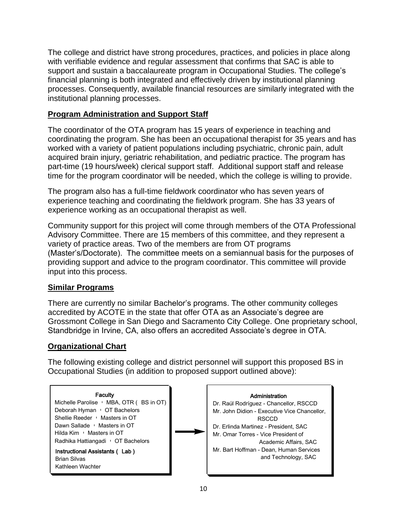The college and district have strong procedures, practices, and policies in place along with verifiable evidence and regular assessment that confirms that SAC is able to support and sustain a baccalaureate program in Occupational Studies. The college's financial planning is both integrated and effectively driven by institutional planning processes. Consequently, available financial resources are similarly integrated with the institutional planning processes.

### **Program Administration and Support Staff**

The coordinator of the OTA program has 15 years of experience in teaching and coordinating the program. She has been an occupational therapist for 35 years and has worked with a variety of patient populations including psychiatric, chronic pain, adult acquired brain injury, geriatric rehabilitation, and pediatric practice. The program has part-time (19 hours/week) clerical support staff. Additional support staff and release time for the program coordinator will be needed, which the college is willing to provide.

The program also has a full-time fieldwork coordinator who has seven years of experience teaching and coordinating the fieldwork program. She has 33 years of experience working as an occupational therapist as well.

Community support for this project will come through members of the OTA Professional Advisory Committee. There are 15 members of this committee, and they represent a variety of practice areas. Two of the members are from OT programs (Master's/Doctorate). The committee meets on a semiannual basis for the purposes of providing support and advice to the program coordinator. This committee will provide input into this process.

#### **Similar Programs**

There are currently no similar Bachelor's programs. The other community colleges accredited by ACOTE in the state that offer OTA as an Associate's degree are Grossmont College in San Diego and Sacramento City College. One proprietary school, Standbridge in Irvine, CA, also offers an accredited Associate's degree in OTA.

#### **Organizational Chart**

The following existing college and district personnel will support this proposed BS in Occupational Studies (in addition to proposed support outlined above):

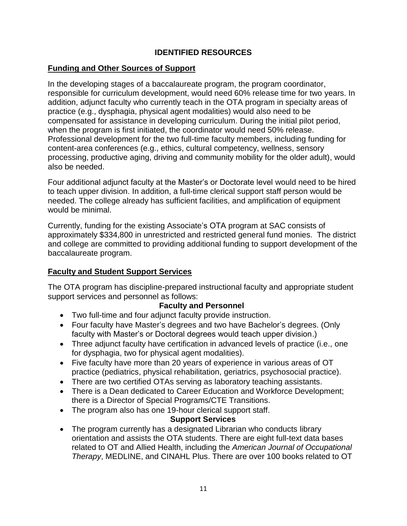# **IDENTIFIED RESOURCES**

#### **Funding and Other Sources of Support**

In the developing stages of a baccalaureate program, the program coordinator, responsible for curriculum development, would need 60% release time for two years. In addition, adjunct faculty who currently teach in the OTA program in specialty areas of practice (e.g., dysphagia, physical agent modalities) would also need to be compensated for assistance in developing curriculum. During the initial pilot period, when the program is first initiated, the coordinator would need 50% release. Professional development for the two full-time faculty members, including funding for content-area conferences (e.g., ethics, cultural competency, wellness, sensory processing, productive aging, driving and community mobility for the older adult), would also be needed.

Four additional adjunct faculty at the Master's or Doctorate level would need to be hired to teach upper division. In addition, a full-time clerical support staff person would be needed. The college already has sufficient facilities, and amplification of equipment would be minimal.

Currently, funding for the existing Associate's OTA program at SAC consists of approximately \$334,800 in unrestricted and restricted general fund monies. The district and college are committed to providing additional funding to support development of the baccalaureate program.

#### **Faculty and Student Support Services**

The OTA program has discipline-prepared instructional faculty and appropriate student support services and personnel as follows:

#### **Faculty and Personnel**

- Two full-time and four adjunct faculty provide instruction.
- Four faculty have Master's degrees and two have Bachelor's degrees. (Only faculty with Master's or Doctoral degrees would teach upper division.)
- Three adjunct faculty have certification in advanced levels of practice (i.e., one for dysphagia, two for physical agent modalities).
- Five faculty have more than 20 years of experience in various areas of OT practice (pediatrics, physical rehabilitation, geriatrics, psychosocial practice).
- There are two certified OTAs serving as laboratory teaching assistants.
- There is a Dean dedicated to Career Education and Workforce Development; there is a Director of Special Programs/CTE Transitions.
- The program also has one 19-hour clerical support staff.

#### **Support Services**

• The program currently has a designated Librarian who conducts library orientation and assists the OTA students. There are eight full-text data bases related to OT and Allied Health, including the *American Journal of Occupational Therapy*, MEDLINE, and CINAHL Plus. There are over 100 books related to OT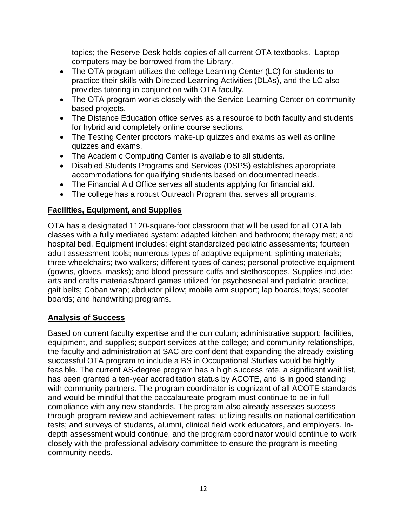topics; the Reserve Desk holds copies of all current OTA textbooks. Laptop computers may be borrowed from the Library.

- The OTA program utilizes the college Learning Center (LC) for students to practice their skills with Directed Learning Activities (DLAs), and the LC also provides tutoring in conjunction with OTA faculty.
- The OTA program works closely with the Service Learning Center on communitybased projects.
- The Distance Education office serves as a resource to both faculty and students for hybrid and completely online course sections.
- The Testing Center proctors make-up quizzes and exams as well as online quizzes and exams.
- The Academic Computing Center is available to all students.
- Disabled Students Programs and Services (DSPS) establishes appropriate accommodations for qualifying students based on documented needs.
- The Financial Aid Office serves all students applying for financial aid.
- The college has a robust Outreach Program that serves all programs.

# **Facilities, Equipment, and Supplies**

OTA has a designated 1120-square-foot classroom that will be used for all OTA lab classes with a fully mediated system; adapted kitchen and bathroom; therapy mat; and hospital bed. Equipment includes: eight standardized pediatric assessments; fourteen adult assessment tools; numerous types of adaptive equipment; splinting materials; three wheelchairs; two walkers; different types of canes; personal protective equipment (gowns, gloves, masks); and blood pressure cuffs and stethoscopes. Supplies include: arts and crafts materials/board games utilized for psychosocial and pediatric practice; gait belts; Coban wrap; abductor pillow; mobile arm support; lap boards; toys; scooter boards; and handwriting programs.

# **Analysis of Success**

Based on current faculty expertise and the curriculum; administrative support; facilities, equipment, and supplies; support services at the college; and community relationships, the faculty and administration at SAC are confident that expanding the already-existing successful OTA program to include a BS in Occupational Studies would be highly feasible. The current AS-degree program has a high success rate, a significant wait list, has been granted a ten-year accreditation status by ACOTE, and is in good standing with community partners. The program coordinator is cognizant of all ACOTE standards and would be mindful that the baccalaureate program must continue to be in full compliance with any new standards. The program also already assesses success through program review and achievement rates; utilizing results on national certification tests; and surveys of students, alumni, clinical field work educators, and employers. Indepth assessment would continue, and the program coordinator would continue to work closely with the professional advisory committee to ensure the program is meeting community needs.